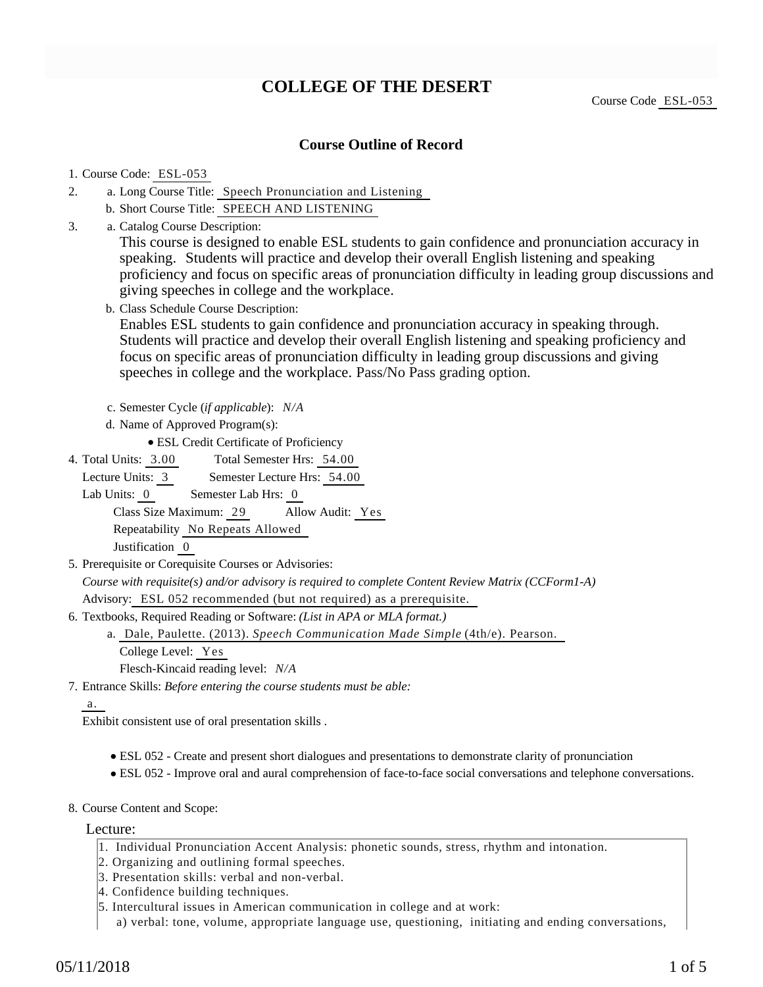# **COLLEGE OF THE DESERT**

Course Code ESL-053

### **Course Outline of Record**

#### 1. Course Code: ESL-053

- a. Long Course Title: Speech Pronunciation and Listening 2.
	- b. Short Course Title: SPEECH AND LISTENING
- Catalog Course Description: a. 3.

This course is designed to enable ESL students to gain confidence and pronunciation accuracy in speaking. Students will practice and develop their overall English listening and speaking proficiency and focus on specific areas of pronunciation difficulty in leading group discussions and giving speeches in college and the workplace.

b. Class Schedule Course Description:

Enables ESL students to gain confidence and pronunciation accuracy in speaking through. Students will practice and develop their overall English listening and speaking proficiency and focus on specific areas of pronunciation difficulty in leading group discussions and giving speeches in college and the workplace. Pass/No Pass grading option.

- c. Semester Cycle (*if applicable*): *N/A*
- d. Name of Approved Program(s):

ESL Credit Certificate of Proficiency

Total Semester Hrs: 54.00 4. Total Units: 3.00

Lecture Units: 3 Semester Lecture Hrs: 54.00

Lab Units: 0 Semester Lab Hrs: 0 Class Size Maximum: 29 Allow Audit: Yes Repeatability No Repeats Allowed

Justification 0

5. Prerequisite or Corequisite Courses or Advisories:

*Course with requisite(s) and/or advisory is required to complete Content Review Matrix (CCForm1-A)* Advisory: ESL 052 recommended (but not required) as a prerequisite.

6. Textbooks, Required Reading or Software: (List in APA or MLA format.)

Dale, Paulette. (2013). *Speech Communication Made Simple* (4th/e). Pearson. a. College Level: Yes

Flesch-Kincaid reading level: *N/A*

Entrance Skills: *Before entering the course students must be able:* 7.

a.

Exhibit consistent use of oral presentation skills .

- ESL 052 Create and present short dialogues and presentations to demonstrate clarity of pronunciation
- ESL 052 Improve oral and aural comprehension of face-to-face social conversations and telephone conversations.
- 8. Course Content and Scope:

Lecture:

- 1. Individual Pronunciation Accent Analysis: phonetic sounds, stress, rhythm and intonation.
- 2. Organizing and outlining formal speeches.
- 3. Presentation skills: verbal and non-verbal.
- 4. Confidence building techniques.
- 5. Intercultural issues in American communication in college and at work:
	- a) verbal: tone, volume, appropriate language use, questioning, initiating and ending conversations,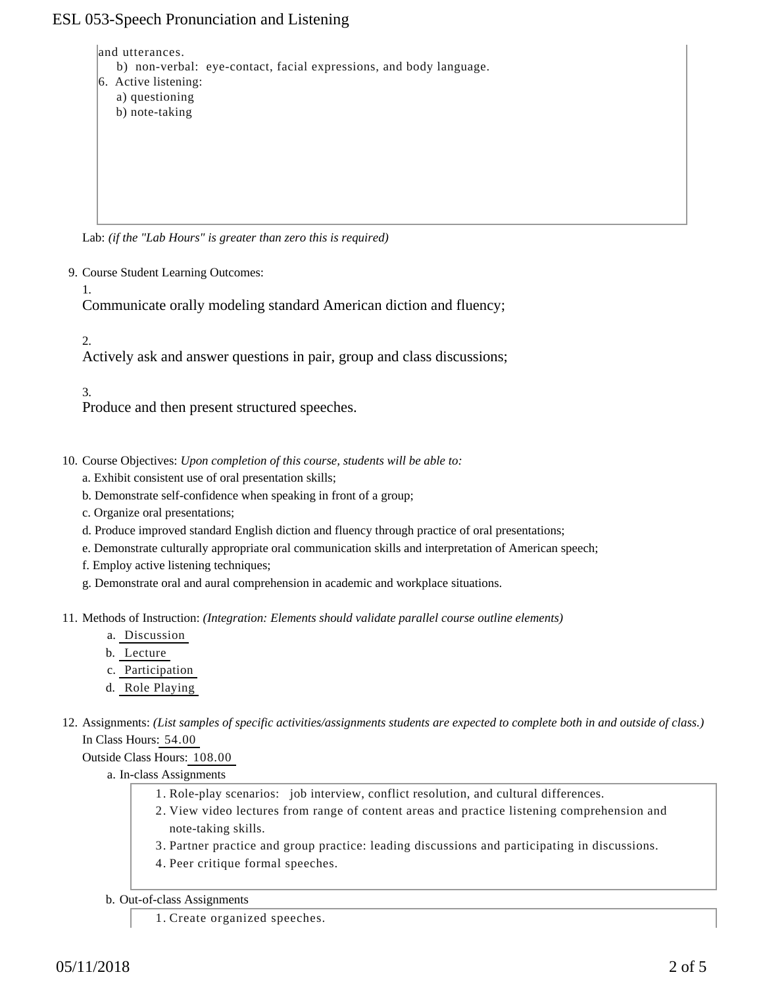## ESL 053-Speech Pronunciation and Listening

and utterances.

- b) non-verbal: eye-contact, facial expressions, and body language.
- 6. Active listening: a) questioning
	- b) note-taking

Lab: *(if the "Lab Hours" is greater than zero this is required)*

9. Course Student Learning Outcomes:

1.

Communicate orally modeling standard American diction and fluency;

2.

Actively ask and answer questions in pair, group and class discussions;

3.

Produce and then present structured speeches.

- 10. Course Objectives: Upon completion of this course, students will be able to:
	- a. Exhibit consistent use of oral presentation skills;
	- b. Demonstrate self-confidence when speaking in front of a group;
	- c. Organize oral presentations;
	- d. Produce improved standard English diction and fluency through practice of oral presentations;
	- e. Demonstrate culturally appropriate oral communication skills and interpretation of American speech;
	- f. Employ active listening techniques;
	- g. Demonstrate oral and aural comprehension in academic and workplace situations.

11. Methods of Instruction: *(Integration: Elements should validate parallel course outline elements)* 

- a. Discussion
- b. Lecture
- c. Participation
- d. Role Playing
- 12. Assignments: (List samples of specific activities/assignments students are expected to complete both in and outside of class.) In Class Hours: 54.00

Outside Class Hours: 108.00

- a. In-class Assignments
	- 1. Role-play scenarios: job interview, conflict resolution, and cultural differences.
	- 2. View video lectures from range of content areas and practice listening comprehension and note-taking skills.
	- 3. Partner practice and group practice: leading discussions and participating in discussions.
	- 4. Peer critique formal speeches.
- b. Out-of-class Assignments
	- 1. Create organized speeches.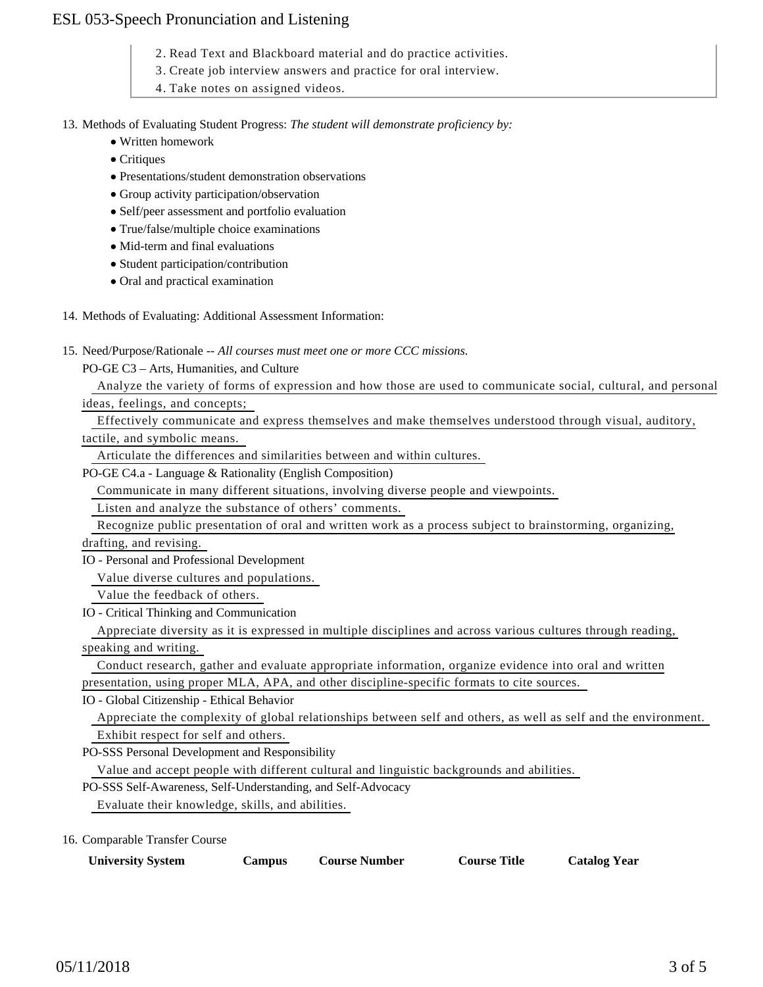### ESL 053-Speech Pronunciation and Listening

- 2. Read Text and Blackboard material and do practice activities.
- 3. Create job interview answers and practice for oral interview.
- 4. Take notes on assigned videos.

13. Methods of Evaluating Student Progress: The student will demonstrate proficiency by:

- Written homework
- Critiques
- Presentations/student demonstration observations
- Group activity participation/observation
- Self/peer assessment and portfolio evaluation
- True/false/multiple choice examinations
- Mid-term and final evaluations
- Student participation/contribution
- Oral and practical examination
- 14. Methods of Evaluating: Additional Assessment Information:
- 15. Need/Purpose/Rationale -- All courses must meet one or more CCC missions.
	- PO-GE C3 Arts, Humanities, and Culture

Analyze the variety of forms of expression and how those are used to communicate social, cultural, and personal

ideas, feelings, and concepts;

 Effectively communicate and express themselves and make themselves understood through visual, auditory, tactile, and symbolic means.

Articulate the differences and similarities between and within cultures.

PO-GE C4.a - Language & Rationality (English Composition)

Communicate in many different situations, involving diverse people and viewpoints.

Listen and analyze the substance of others' comments.

 Recognize public presentation of oral and written work as a process subject to brainstorming, organizing, drafting, and revising.

IO - Personal and Professional Development

Value diverse cultures and populations.

Value the feedback of others.

IO - Critical Thinking and Communication

 Appreciate diversity as it is expressed in multiple disciplines and across various cultures through reading, speaking and writing.

 Conduct research, gather and evaluate appropriate information, organize evidence into oral and written presentation, using proper MLA, APA, and other discipline-specific formats to cite sources.

IO - Global Citizenship - Ethical Behavior

 Appreciate the complexity of global relationships between self and others, as well as self and the environment. Exhibit respect for self and others.

PO-SSS Personal Development and Responsibility

Value and accept people with different cultural and linguistic backgrounds and abilities.

PO-SSS Self-Awareness, Self-Understanding, and Self-Advocacy

Evaluate their knowledge, skills, and abilities.

16. Comparable Transfer Course

| <b>University System</b> | Campus | <b>Course Number</b> | <b>Course Title</b> | <b>Catalog Year</b> |
|--------------------------|--------|----------------------|---------------------|---------------------|
|--------------------------|--------|----------------------|---------------------|---------------------|